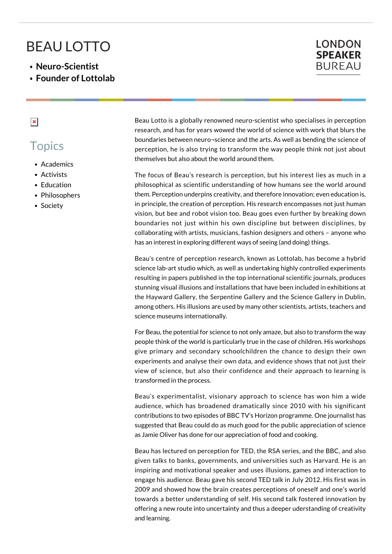## BEAU LOTTO

- **Neuro-Scientist**
- **Founder of Lottolab**

## **LONDON SPEAKER BUREAU**

 $\pmb{\times}$ 

## **Topics**

- Academics
- Activists
- **Education**
- Philosophers
- **Society**

Beau Lotto is a globally renowned neuro-scientist who specialises in perception research, and has for years wowed the world of science with work that blurs the boundaries between neuro¬science and the arts. As well as bending the science of perception, he is also trying to transform the way people think not just about themselves but also about the world around them.

The focus of Beau's research is perception, but his interest lies as much in a philosophical as scientific understanding of how humans see the world around them. Perception underpins creativity, and therefore innovation; even education is, in principle, the creation of perception. His research encompasses not just human vision, but bee and robot vision too. Beau goes even further by breaking down boundaries not just within his own discipline but between disciplines, by collaborating with artists, musicians, fashion designers and others – anyone who has an interest in exploring different ways of seeing (and doing) things.

Beau's centre of perception research, known as Lottolab, has become a hybrid science lab-art studio which, as well as undertaking highly controlled experiments resulting in papers published in the top international scientific journals, produces stunning visual illusions and installations that have been included in exhibitions at the Hayward Gallery, the Serpentine Gallery and the Science Gallery in Dublin, among others. His illusions are used by many other scientists, artists, teachers and science museums internationally.

For Beau, the potential for science to not only amaze, but also to transform the way people think of the world is particularly true in the case of children. His workshops give primary and secondary schoolchildren the chance to design their own experiments and analyse their own data, and evidence shows that not just their view of science, but also their confidence and their approach to learning is transformed in the process.

Beau's experimentalist, visionary approach to science has won him a wide audience, which has broadened dramatically since 2010 with his significant contributions to two episodes of BBC TV's Horizon programme. One journalist has suggested that Beau could do as much good for the public appreciation of science as Jamie Oliver has done for our appreciation of food and cooking.

Beau has lectured on perception for TED, the RSA series, and the BBC, and also given talks to banks, governments, and universities such as Harvard. He is an inspiring and motivational speaker and uses illusions, games and interaction to engage his audience. Beau gave his second TED talk in July 2012. His first was in 2009 and showed how the brain creates perceptions of oneself and one's world towards a better understanding of self. His second talk fostered innovation by offering a new route into uncertainty and thus a deeper uderstanding of creativity and learning.